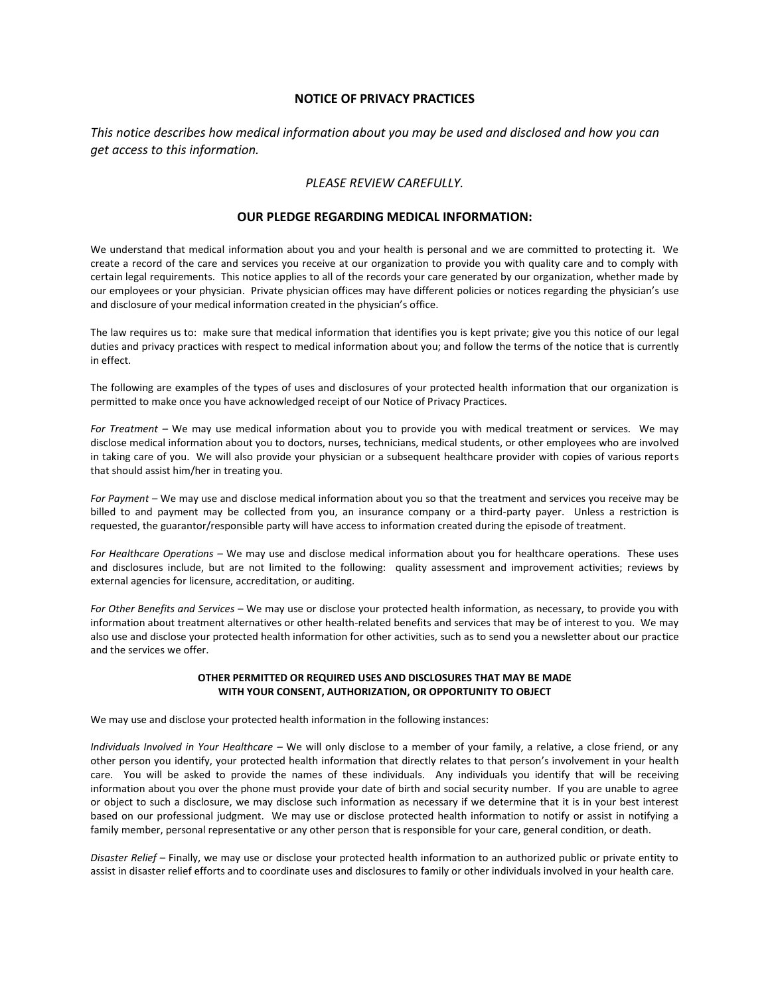## **NOTICE OF PRIVACY PRACTICES**

*This notice describes how medical information about you may be used and disclosed and how you can get access to this information.*

# *PLEASE REVIEW CAREFULLY.*

## **OUR PLEDGE REGARDING MEDICAL INFORMATION:**

We understand that medical information about you and your health is personal and we are committed to protecting it. We create a record of the care and services you receive at our organization to provide you with quality care and to comply with certain legal requirements. This notice applies to all of the records your care generated by our organization, whether made by our employees or your physician. Private physician offices may have different policies or notices regarding the physician's use and disclosure of your medical information created in the physician's office.

The law requires us to: make sure that medical information that identifies you is kept private; give you this notice of our legal duties and privacy practices with respect to medical information about you; and follow the terms of the notice that is currently in effect.

The following are examples of the types of uses and disclosures of your protected health information that our organization is permitted to make once you have acknowledged receipt of our Notice of Privacy Practices.

*For Treatment –* We may use medical information about you to provide you with medical treatment or services. We may disclose medical information about you to doctors, nurses, technicians, medical students, or other employees who are involved in taking care of you. We will also provide your physician or a subsequent healthcare provider with copies of various reports that should assist him/her in treating you.

*For Payment –* We may use and disclose medical information about you so that the treatment and services you receive may be billed to and payment may be collected from you, an insurance company or a third-party payer. Unless a restriction is requested, the guarantor/responsible party will have access to information created during the episode of treatment.

*For Healthcare Operations –* We may use and disclose medical information about you for healthcare operations. These uses and disclosures include, but are not limited to the following: quality assessment and improvement activities; reviews by external agencies for licensure, accreditation, or auditing.

*For Other Benefits and Services –* We may use or disclose your protected health information, as necessary, to provide you with information about treatment alternatives or other health-related benefits and services that may be of interest to you. We may also use and disclose your protected health information for other activities, such as to send you a newsletter about our practice and the services we offer.

#### **OTHER PERMITTED OR REQUIRED USES AND DISCLOSURES THAT MAY BE MADE WITH YOUR CONSENT, AUTHORIZATION, OR OPPORTUNITY TO OBJECT**

We may use and disclose your protected health information in the following instances:

*Individuals Involved in Your Healthcare –* We will only disclose to a member of your family, a relative, a close friend, or any other person you identify, your protected health information that directly relates to that person's involvement in your health care. You will be asked to provide the names of these individuals. Any individuals you identify that will be receiving information about you over the phone must provide your date of birth and social security number. If you are unable to agree or object to such a disclosure, we may disclose such information as necessary if we determine that it is in your best interest based on our professional judgment. We may use or disclose protected health information to notify or assist in notifying a family member, personal representative or any other person that is responsible for your care, general condition, or death.

*Disaster Relief –* Finally, we may use or disclose your protected health information to an authorized public or private entity to assist in disaster relief efforts and to coordinate uses and disclosures to family or other individuals involved in your health care.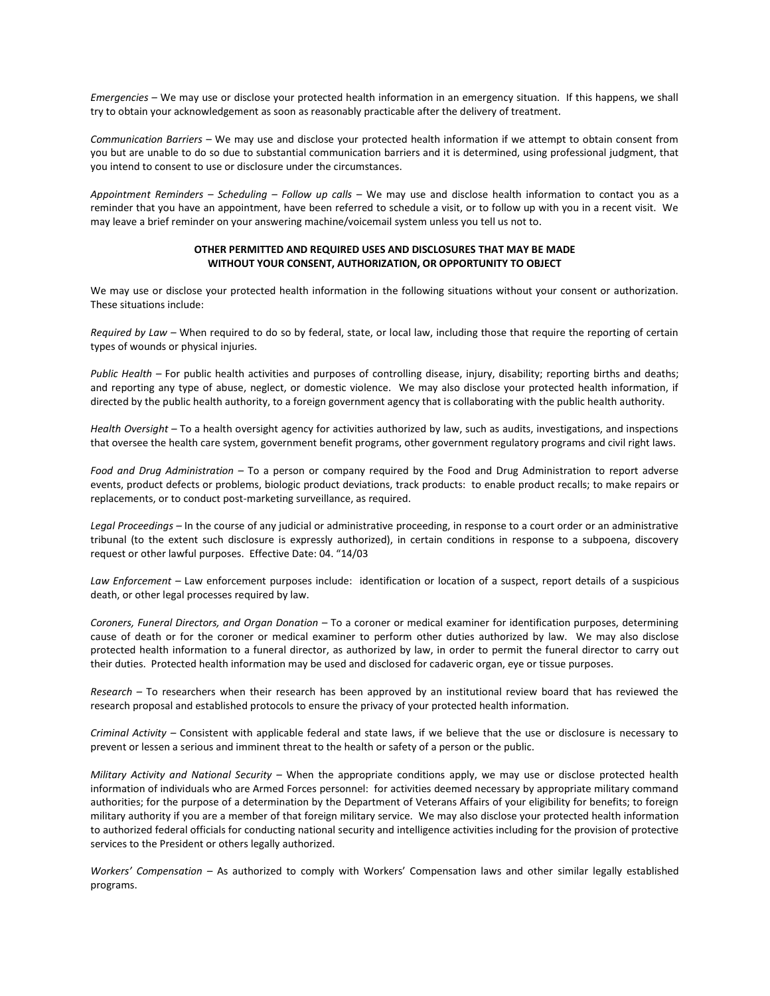*Emergencies –* We may use or disclose your protected health information in an emergency situation. If this happens, we shall try to obtain your acknowledgement as soon as reasonably practicable after the delivery of treatment.

*Communication Barriers –* We may use and disclose your protected health information if we attempt to obtain consent from you but are unable to do so due to substantial communication barriers and it is determined, using professional judgment, that you intend to consent to use or disclosure under the circumstances.

*Appointment Reminders – Scheduling – Follow up calls –* We may use and disclose health information to contact you as a reminder that you have an appointment, have been referred to schedule a visit, or to follow up with you in a recent visit. We may leave a brief reminder on your answering machine/voicemail system unless you tell us not to.

#### **OTHER PERMITTED AND REQUIRED USES AND DISCLOSURES THAT MAY BE MADE WITHOUT YOUR CONSENT, AUTHORIZATION, OR OPPORTUNITY TO OBJECT**

We may use or disclose your protected health information in the following situations without your consent or authorization. These situations include:

*Required by Law –* When required to do so by federal, state, or local law, including those that require the reporting of certain types of wounds or physical injuries.

*Public Health –* For public health activities and purposes of controlling disease, injury, disability; reporting births and deaths; and reporting any type of abuse, neglect, or domestic violence. We may also disclose your protected health information, if directed by the public health authority, to a foreign government agency that is collaborating with the public health authority.

*Health Oversight –* To a health oversight agency for activities authorized by law, such as audits, investigations, and inspections that oversee the health care system, government benefit programs, other government regulatory programs and civil right laws.

*Food and Drug Administration –* To a person or company required by the Food and Drug Administration to report adverse events, product defects or problems, biologic product deviations, track products: to enable product recalls; to make repairs or replacements, or to conduct post-marketing surveillance, as required.

*Legal Proceedings –* In the course of any judicial or administrative proceeding, in response to a court order or an administrative tribunal (to the extent such disclosure is expressly authorized), in certain conditions in response to a subpoena, discovery request or other lawful purposes. Effective Date: 04. "14/03

*Law Enforcement –* Law enforcement purposes include: identification or location of a suspect, report details of a suspicious death, or other legal processes required by law.

*Coroners, Funeral Directors, and Organ Donation –* To a coroner or medical examiner for identification purposes, determining cause of death or for the coroner or medical examiner to perform other duties authorized by law. We may also disclose protected health information to a funeral director, as authorized by law, in order to permit the funeral director to carry out their duties. Protected health information may be used and disclosed for cadaveric organ, eye or tissue purposes.

*Research –* To researchers when their research has been approved by an institutional review board that has reviewed the research proposal and established protocols to ensure the privacy of your protected health information.

*Criminal Activity –* Consistent with applicable federal and state laws, if we believe that the use or disclosure is necessary to prevent or lessen a serious and imminent threat to the health or safety of a person or the public.

*Military Activity and National Security –* When the appropriate conditions apply, we may use or disclose protected health information of individuals who are Armed Forces personnel: for activities deemed necessary by appropriate military command authorities; for the purpose of a determination by the Department of Veterans Affairs of your eligibility for benefits; to foreign military authority if you are a member of that foreign military service. We may also disclose your protected health information to authorized federal officials for conducting national security and intelligence activities including for the provision of protective services to the President or others legally authorized.

*Workers' Compensation –* As authorized to comply with Workers' Compensation laws and other similar legally established programs.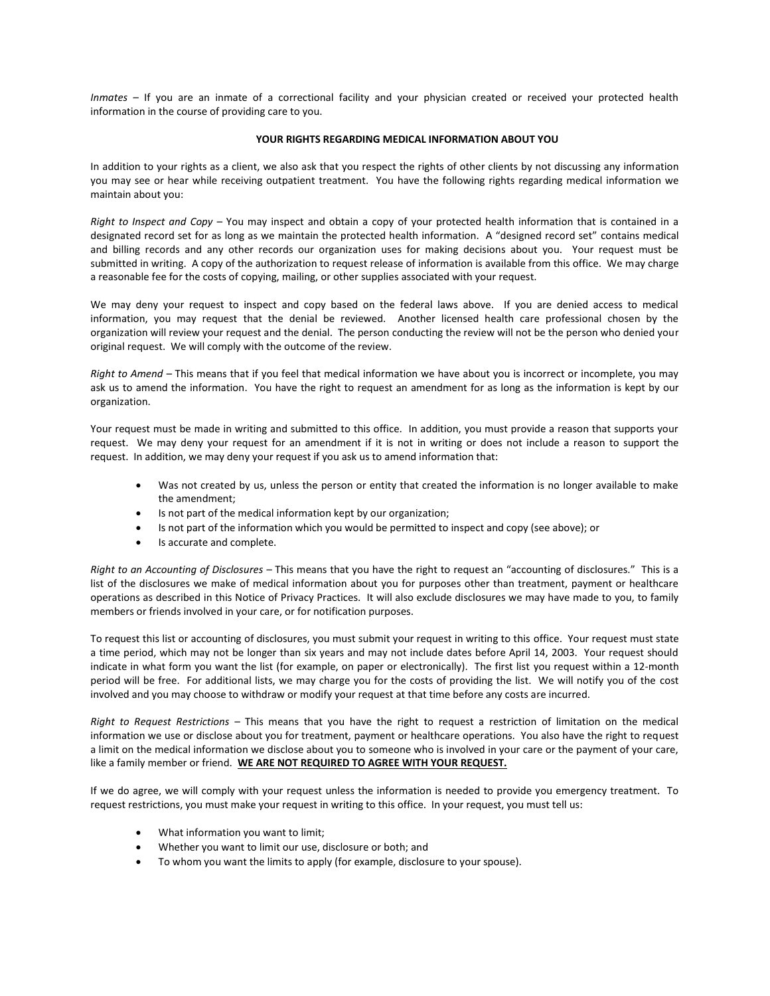*Inmates –* If you are an inmate of a correctional facility and your physician created or received your protected health information in the course of providing care to you.

#### **YOUR RIGHTS REGARDING MEDICAL INFORMATION ABOUT YOU**

In addition to your rights as a client, we also ask that you respect the rights of other clients by not discussing any information you may see or hear while receiving outpatient treatment. You have the following rights regarding medical information we maintain about you:

*Right to Inspect and Copy –* You may inspect and obtain a copy of your protected health information that is contained in a designated record set for as long as we maintain the protected health information. A "designed record set" contains medical and billing records and any other records our organization uses for making decisions about you. Your request must be submitted in writing. A copy of the authorization to request release of information is available from this office. We may charge a reasonable fee for the costs of copying, mailing, or other supplies associated with your request.

We may deny your request to inspect and copy based on the federal laws above. If you are denied access to medical information, you may request that the denial be reviewed. Another licensed health care professional chosen by the organization will review your request and the denial. The person conducting the review will not be the person who denied your original request. We will comply with the outcome of the review.

*Right to Amend –* This means that if you feel that medical information we have about you is incorrect or incomplete, you may ask us to amend the information. You have the right to request an amendment for as long as the information is kept by our organization.

Your request must be made in writing and submitted to this office. In addition, you must provide a reason that supports your request. We may deny your request for an amendment if it is not in writing or does not include a reason to support the request. In addition, we may deny your request if you ask us to amend information that:

- Was not created by us, unless the person or entity that created the information is no longer available to make the amendment;
- Is not part of the medical information kept by our organization;
- Is not part of the information which you would be permitted to inspect and copy (see above); or
- Is accurate and complete.

*Right to an Accounting of Disclosures –* This means that you have the right to request an "accounting of disclosures." This is a list of the disclosures we make of medical information about you for purposes other than treatment, payment or healthcare operations as described in this Notice of Privacy Practices. It will also exclude disclosures we may have made to you, to family members or friends involved in your care, or for notification purposes.

To request this list or accounting of disclosures, you must submit your request in writing to this office. Your request must state a time period, which may not be longer than six years and may not include dates before April 14, 2003. Your request should indicate in what form you want the list (for example, on paper or electronically). The first list you request within a 12-month period will be free. For additional lists, we may charge you for the costs of providing the list. We will notify you of the cost involved and you may choose to withdraw or modify your request at that time before any costs are incurred.

*Right to Request Restrictions –* This means that you have the right to request a restriction of limitation on the medical information we use or disclose about you for treatment, payment or healthcare operations. You also have the right to request a limit on the medical information we disclose about you to someone who is involved in your care or the payment of your care, like a family member or friend. **WE ARE NOT REQUIRED TO AGREE WITH YOUR REQUEST.**

If we do agree, we will comply with your request unless the information is needed to provide you emergency treatment. To request restrictions, you must make your request in writing to this office. In your request, you must tell us:

- What information you want to limit;
- Whether you want to limit our use, disclosure or both; and
- To whom you want the limits to apply (for example, disclosure to your spouse).